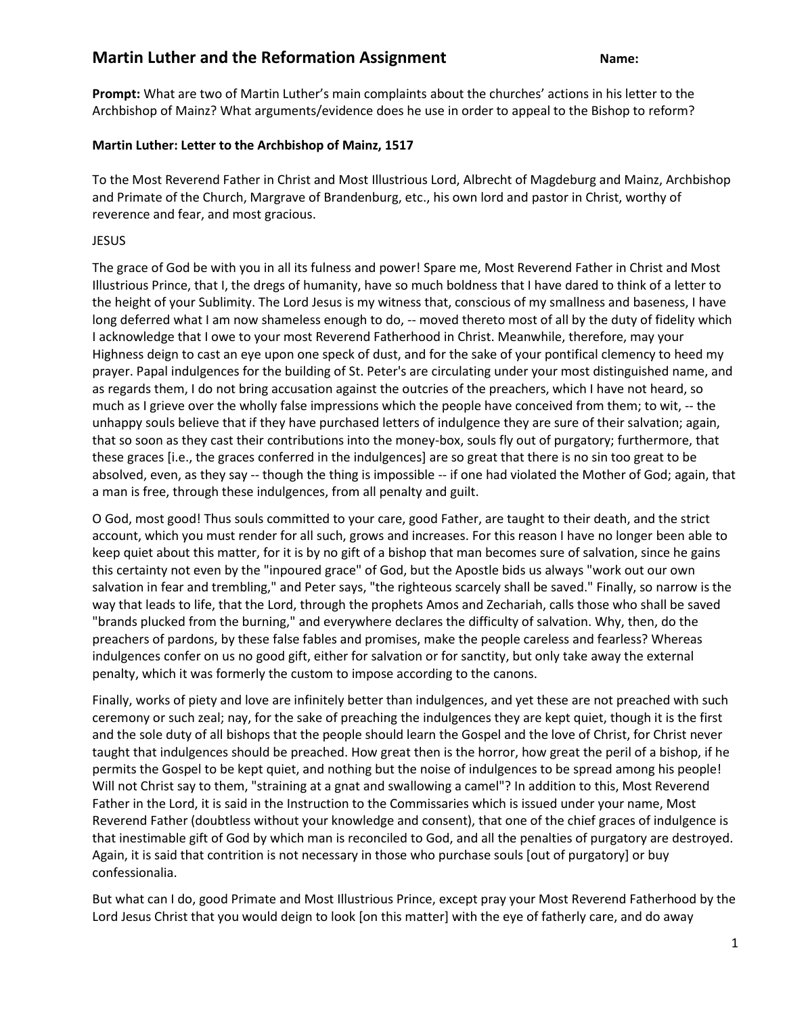## **Martin Luther and the Reformation Assignment Name:** Name:

**Prompt:** What are two of Martin Luther's main complaints about the churches' actions in his letter to the Archbishop of Mainz? What arguments/evidence does he use in order to appeal to the Bishop to reform?

## **Martin Luther: Letter to the Archbishop of Mainz, 1517**

To the Most Reverend Father in Christ and Most Illustrious Lord, Albrecht of Magdeburg and Mainz, Archbishop and Primate of the Church, Margrave of Brandenburg, etc., his own lord and pastor in Christ, worthy of reverence and fear, and most gracious.

## JESUS

The grace of God be with you in all its fulness and power! Spare me, Most Reverend Father in Christ and Most Illustrious Prince, that I, the dregs of humanity, have so much boldness that I have dared to think of a letter to the height of your Sublimity. The Lord Jesus is my witness that, conscious of my smallness and baseness, I have long deferred what I am now shameless enough to do, -- moved thereto most of all by the duty of fidelity which I acknowledge that I owe to your most Reverend Fatherhood in Christ. Meanwhile, therefore, may your Highness deign to cast an eye upon one speck of dust, and for the sake of your pontifical clemency to heed my prayer. Papal indulgences for the building of St. Peter's are circulating under your most distinguished name, and as regards them, I do not bring accusation against the outcries of the preachers, which I have not heard, so much as I grieve over the wholly false impressions which the people have conceived from them; to wit, -- the unhappy souls believe that if they have purchased letters of indulgence they are sure of their salvation; again, that so soon as they cast their contributions into the money-box, souls fly out of purgatory; furthermore, that these graces [i.e., the graces conferred in the indulgences] are so great that there is no sin too great to be absolved, even, as they say -- though the thing is impossible -- if one had violated the Mother of God; again, that a man is free, through these indulgences, from all penalty and guilt.

O God, most good! Thus souls committed to your care, good Father, are taught to their death, and the strict account, which you must render for all such, grows and increases. For this reason I have no longer been able to keep quiet about this matter, for it is by no gift of a bishop that man becomes sure of salvation, since he gains this certainty not even by the "inpoured grace" of God, but the Apostle bids us always "work out our own salvation in fear and trembling," and Peter says, "the righteous scarcely shall be saved." Finally, so narrow is the way that leads to life, that the Lord, through the prophets Amos and Zechariah, calls those who shall be saved "brands plucked from the burning," and everywhere declares the difficulty of salvation. Why, then, do the preachers of pardons, by these false fables and promises, make the people careless and fearless? Whereas indulgences confer on us no good gift, either for salvation or for sanctity, but only take away the external penalty, which it was formerly the custom to impose according to the canons.

Finally, works of piety and love are infinitely better than indulgences, and yet these are not preached with such ceremony or such zeal; nay, for the sake of preaching the indulgences they are kept quiet, though it is the first and the sole duty of all bishops that the people should learn the Gospel and the love of Christ, for Christ never taught that indulgences should be preached. How great then is the horror, how great the peril of a bishop, if he permits the Gospel to be kept quiet, and nothing but the noise of indulgences to be spread among his people! Will not Christ say to them, "straining at a gnat and swallowing a camel"? In addition to this, Most Reverend Father in the Lord, it is said in the Instruction to the Commissaries which is issued under your name, Most Reverend Father (doubtless without your knowledge and consent), that one of the chief graces of indulgence is that inestimable gift of God by which man is reconciled to God, and all the penalties of purgatory are destroyed. Again, it is said that contrition is not necessary in those who purchase souls [out of purgatory] or buy confessionalia.

But what can I do, good Primate and Most Illustrious Prince, except pray your Most Reverend Fatherhood by the Lord Jesus Christ that you would deign to look [on this matter] with the eye of fatherly care, and do away